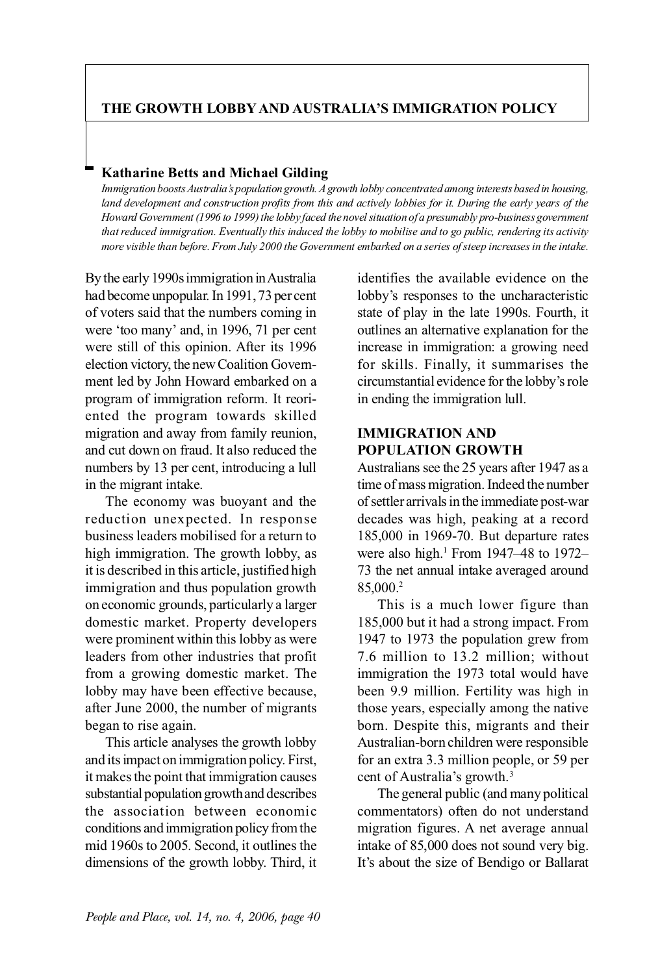# **THE GROWTH LOBBY AND AUSTRALIA'S IMMIGRATION POLICY**

# **Katharine Betts and Michael Gilding**

*Immigration boosts Australia's population growth. A growth lobby concentrated among interests based in housing, land development and construction profits from this and actively lobbies for it. During the early years of the Howard Government (1996 to 1999) the lobby faced the novel situation of a presumably pro-business government that reduced immigration. Eventually this induced the lobby to mobilise and to go public, rendering its activity more visible than before. From July 2000 the Government embarked on a series of steep increases in the intake.*

By the early 1990s immigration in Australia had become unpopular. In 1991, 73 per cent of voters said that the numbers coming in were 'too many' and, in 1996, 71 per cent were still of this opinion. After its 1996 election victory, the new Coalition Government led by John Howard embarked on a program of immigration reform. It reoriented the program towards skilled migration and away from family reunion, and cut down on fraud. It also reduced the numbers by 13 per cent, introducing a lull in the migrant intake.

The economy was buoyant and the reduction unexpected. In response business leaders mobilised for a return to high immigration. The growth lobby, as it is described in this article, justified high immigration and thus population growth on economic grounds, particularly a larger domestic market. Property developers were prominent within this lobby as were leaders from other industries that profit from a growing domestic market. The lobby may have been effective because, after June 2000, the number of migrants began to rise again.

This article analyses the growth lobby and its impact on immigration policy. First, it makes the point that immigration causes substantial population growth and describes the association between economic conditions and immigration policy from the mid 1960s to 2005. Second, it outlines the dimensions of the growth lobby. Third, it identifies the available evidence on the lobby's responses to the uncharacteristic state of play in the late 1990s. Fourth, it outlines an alternative explanation for the increase in immigration: a growing need for skills. Finally, it summarises the circumstantial evidence for the lobby's role in ending the immigration lull.

## **IMMIGRATION AND POPULATION GROWTH**

Australians see the 25 years after 1947 as a time of mass migration. Indeed the number of settler arrivals in the immediate post-war decades was high, peaking at a record 185,000 in 1969-70. But departure rates were also high.<sup>1</sup> From 1947–48 to 1972– 73 the net annual intake averaged around 85,000.2

This is a much lower figure than 185,000 but it had a strong impact. From 1947 to 1973 the population grew from 7.6 million to 13.2 million; without immigration the 1973 total would have been 9.9 million. Fertility was high in those years, especially among the native born. Despite this, migrants and their Australian-born children were responsible for an extra 3.3 million people, or 59 per cent of Australia's growth.3

The general public (and many political commentators) often do not understand migration figures. A net average annual intake of 85,000 does not sound very big. It's about the size of Bendigo or Ballarat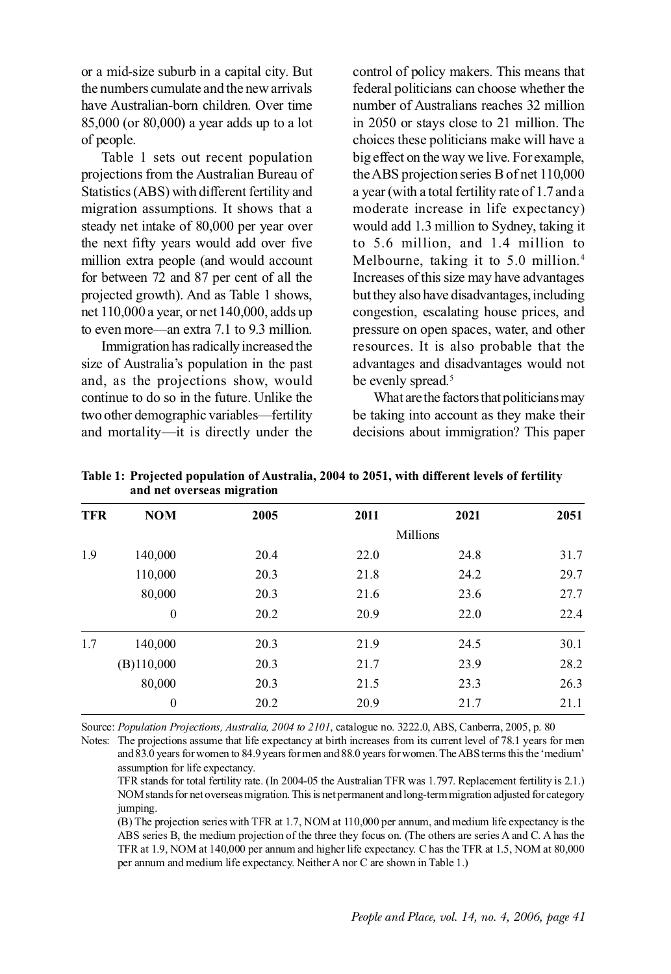or a mid-size suburb in a capital city. But the numbers cumulate and the new arrivals have Australian-born children. Over time 85,000 (or 80,000) a year adds up to a lot of people.

Table 1 sets out recent population projections from the Australian Bureau of Statistics (ABS) with different fertility and migration assumptions. It shows that a steady net intake of 80,000 per year over the next fifty years would add over five million extra people (and would account for between 72 and 87 per cent of all the projected growth). And as Table 1 shows, net 110,000 a year, or net 140,000, adds up to even more—an extra 7.1 to 9.3 million.

Immigration has radically increased the size of Australia's population in the past and, as the projections show, would continue to do so in the future. Unlike the two other demographic variables—fertility and mortality—it is directly under the control of policy makers. This means that federal politicians can choose whether the number of Australians reaches 32 million in 2050 or stays close to 21 million. The choices these politicians make will have a big effect on the way we live. For example, the ABS projection series B of net 110,000 a year (with a total fertility rate of 1.7 and a moderate increase in life expectancy) would add 1.3 million to Sydney, taking it to 5.6 million, and 1.4 million to Melbourne, taking it to 5.0 million.<sup>4</sup> Increases of this size may have advantages but they also have disadvantages, including congestion, escalating house prices, and pressure on open spaces, water, and other resources. It is also probable that the advantages and disadvantages would not be evenly spread.<sup>5</sup>

What are the factors that politicians may be taking into account as they make their decisions about immigration? This paper

| <b>TFR</b> | <b>NOM</b>   | 2005 | 2011     | 2021 | 2051 |  |
|------------|--------------|------|----------|------|------|--|
|            |              |      | Millions |      |      |  |
| 1.9        | 140,000      | 20.4 | 22.0     | 24.8 | 31.7 |  |
|            | 110,000      | 20.3 | 21.8     | 24.2 | 29.7 |  |
|            | 80,000       | 20.3 | 21.6     | 23.6 | 27.7 |  |
|            | $\mathbf{0}$ | 20.2 | 20.9     | 22.0 | 22.4 |  |
| 1.7        | 140,000      | 20.3 | 21.9     | 24.5 | 30.1 |  |
|            | (B)110,000   | 20.3 | 21.7     | 23.9 | 28.2 |  |
|            | 80,000       | 20.3 | 21.5     | 23.3 | 26.3 |  |
|            | $\mathbf{0}$ | 20.2 | 20.9     | 21.7 | 21.1 |  |

**Table 1: Projected population of Australia, 2004 to 2051, with different levels of fertility and net overseas migration**

Source: *Population Projections, Australia, 2004 to 2101*, catalogue no. 3222.0, ABS, Canberra, 2005, p. 80

Notes: The projections assume that life expectancy at birth increases from its current level of 78.1 years for men and 83.0 years for women to 84.9 years for men and 88.0 years for women. The ABS terms this the 'medium' assumption for life expectancy.

TFR stands for total fertility rate. (In 2004-05 the Australian TFR was 1.797. Replacement fertility is 2.1.) NOM stands for net overseas migration. This is net permanent and long-term migration adjusted for category jumping.

(B) The projection series with TFR at 1.7, NOM at 110,000 per annum, and medium life expectancy is the ABS series B, the medium projection of the three they focus on. (The others are series A and C. A has the TFR at 1.9, NOM at 140,000 per annum and higher life expectancy. C has the TFR at 1.5, NOM at 80,000 per annum and medium life expectancy. Neither A nor C are shown in Table 1.)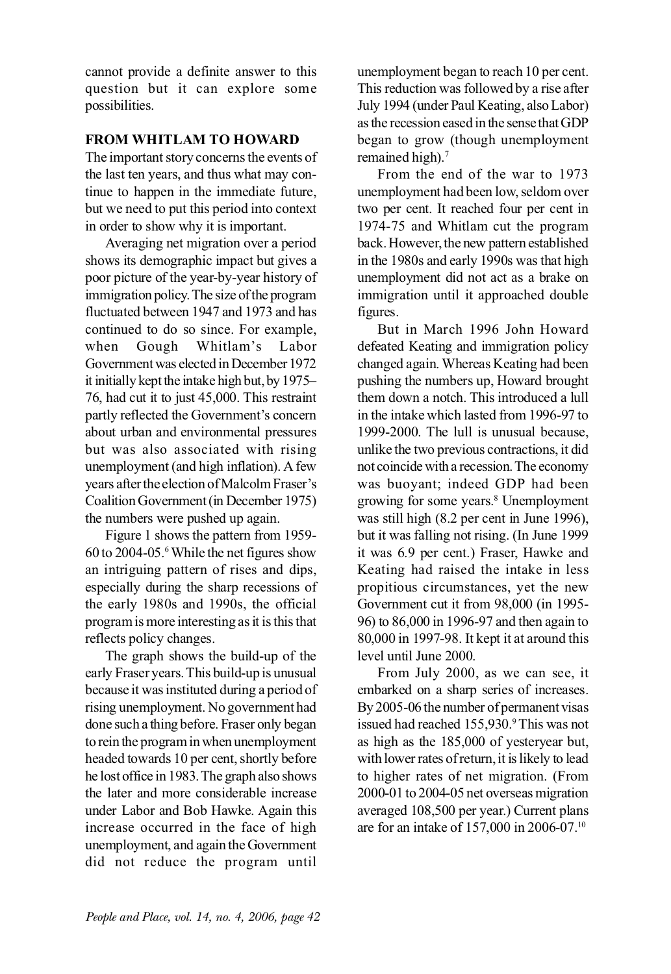cannot provide a definite answer to this question but it can explore some possibilities.

### **FROM WHITLAM TO HOWARD**

The important story concerns the events of the last ten years, and thus what may continue to happen in the immediate future, but we need to put this period into context in order to show why it is important.

Averaging net migration over a period shows its demographic impact but gives a poor picture of the year-by-year history of immigration policy. The size of the program fluctuated between 1947 and 1973 and has continued to do so since. For example, when Gough Whitlam's Labor Government was elected in December 1972 it initially kept the intake high but, by 1975– 76, had cut it to just 45,000. This restraint partly reflected the Government's concern about urban and environmental pressures but was also associated with rising unemployment (and high inflation). A few years after the election of Malcolm Fraser's Coalition Government (in December 1975) the numbers were pushed up again.

Figure 1 shows the pattern from 1959- 60 to 2004-05.6While the net figures show an intriguing pattern of rises and dips, especially during the sharp recessions of the early 1980s and 1990s, the official program is more interesting as it is this that reflects policy changes.

The graph shows the build-up of the early Fraser years. This build-up is unusual because it was instituted during a period of rising unemployment. No government had done such a thing before. Fraser only began to rein the program in when unemployment headed towards 10 per cent, shortly before he lost office in 1983. The graph also shows the later and more considerable increase under Labor and Bob Hawke. Again this increase occurred in the face of high unemployment, and again the Government did not reduce the program until unemployment began to reach 10 per cent. This reduction was followed by a rise after July 1994 (under Paul Keating, also Labor) as the recession eased in the sense that GDP began to grow (though unemployment remained high).<sup>7</sup>

From the end of the war to 1973 unemployment had been low, seldom over two per cent. It reached four per cent in 1974-75 and Whitlam cut the program back. However, the new pattern established in the 1980s and early 1990s was that high unemployment did not act as a brake on immigration until it approached double figures.

But in March 1996 John Howard defeated Keating and immigration policy changed again. Whereas Keating had been pushing the numbers up, Howard brought them down a notch. This introduced a lull in the intake which lasted from 1996-97 to 1999-2000. The lull is unusual because, unlike the two previous contractions, it did not coincide with a recession. The economy was buoyant; indeed GDP had been growing for some years.8 Unemployment was still high (8.2 per cent in June 1996), but it was falling not rising. (In June 1999 it was 6.9 per cent.) Fraser, Hawke and Keating had raised the intake in less propitious circumstances, yet the new Government cut it from 98,000 (in 1995- 96) to 86,000 in 1996-97 and then again to 80,000 in 1997-98. It kept it at around this level until June 2000.

From July 2000, as we can see, it embarked on a sharp series of increases. By 2005-06 the number of permanent visas issued had reached 155,930.<sup>9</sup> This was not as high as the 185,000 of yesteryear but, with lower rates of return, it is likely to lead to higher rates of net migration. (From 2000-01 to 2004-05 net overseas migration averaged 108,500 per year.) Current plans are for an intake of 157,000 in 2006-07.10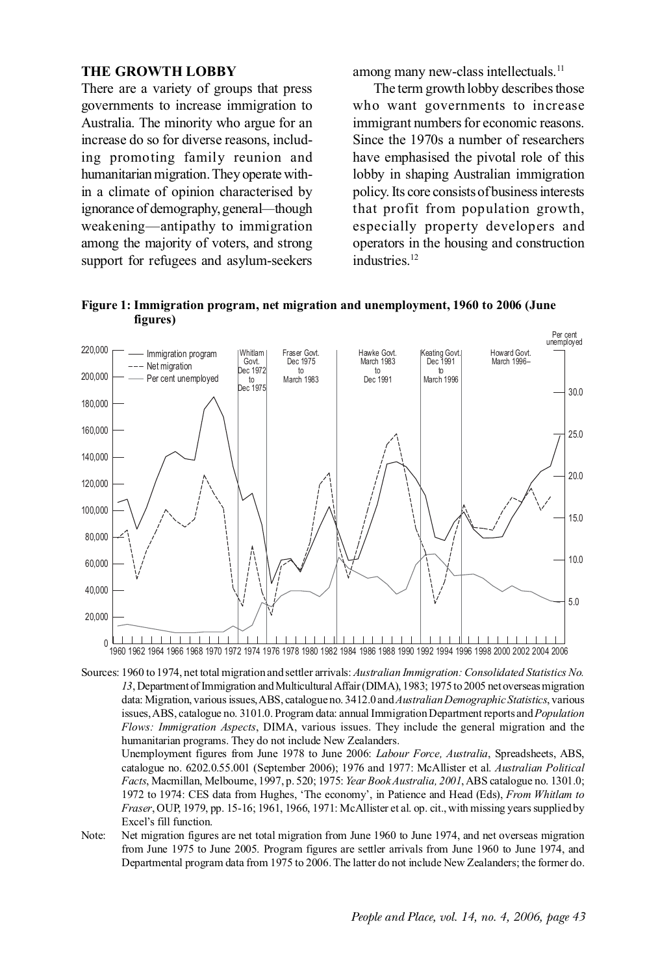#### **THE GROWTH LOBBY**

There are a variety of groups that press governments to increase immigration to Australia. The minority who argue for an increase do so for diverse reasons, including promoting family reunion and humanitarian migration. They operate within a climate of opinion characterised by ignorance of demography, general*—*though weakening—antipathy to immigration among the majority of voters, and strong support for refugees and asylum-seekers among many new-class intellectuals.<sup>11</sup>

The term growth lobby describes those who want governments to increase immigrant numbers for economic reasons. Since the 1970s a number of researchers have emphasised the pivotal role of this lobby in shaping Australian immigration policy. Its core consists of business interests that profit from population growth, especially property developers and operators in the housing and construction industries.12



**Figure 1: Immigration program, net migration and unemployment, 1960 to 2006 (June figures)**

Sources: 1960 to 1974, net total migration and settler arrivals: *Australian Immigration: Consolidated Statistics No. 13*, Department of Immigration and Multicultural Affair (DIMA), 1983; 1975 to 2005 net overseas migration data: Migration, various issues, ABS, catalogue no. 3412.0 and *Australian Demographic Statistics*, various issues, ABS, catalogue no. 3101.0. Program data: annual Immigration Department reports and *Population Flows: Immigration Aspects*, DIMA, various issues. They include the general migration and the humanitarian programs. They do not include New Zealanders.

Unemployment figures from June 1978 to June 2006: *Labour Force, Australia*, Spreadsheets, ABS, catalogue no. 6202.0.55.001 (September 2006); 1976 and 1977: McAllister et al. *Australian Political Facts*, Macmillan, Melbourne, 1997, p. 520; 1975: *Year Book Australia, 2001*, ABS catalogue no. 1301.0; 1972 to 1974: CES data from Hughes, 'The economy', in Patience and Head (Eds), *From Whitlam to Fraser*, OUP, 1979, pp. 15-16; 1961, 1966, 1971: McAllister et al. op. cit., with missing years supplied by Excel's fill function.

Note: Net migration figures are net total migration from June 1960 to June 1974, and net overseas migration from June 1975 to June 2005. Program figures are settler arrivals from June 1960 to June 1974, and Departmental program data from 1975 to 2006. The latter do not include New Zealanders; the former do.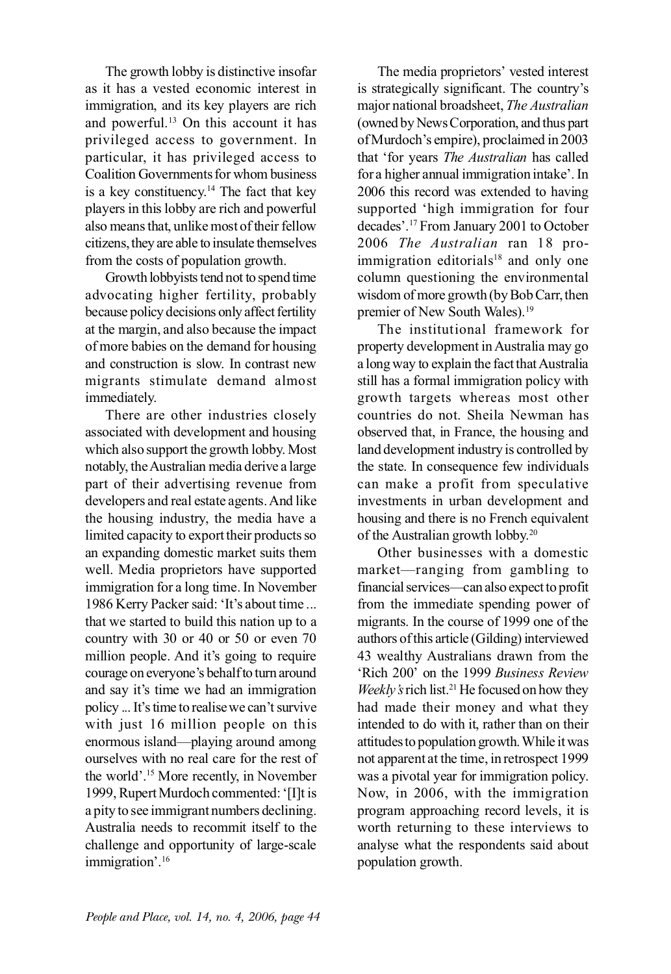The growth lobby is distinctive insofar as it has a vested economic interest in immigration, and its key players are rich and powerful.<sup>13</sup> On this account it has privileged access to government. In particular, it has privileged access to Coalition Governments for whom business is a key constituency.<sup>14</sup> The fact that key players in this lobby are rich and powerful also means that, unlike most of their fellow citizens, they are able to insulate themselves from the costs of population growth.

Growth lobbyists tend not to spend time advocating higher fertility, probably because policy decisions only affect fertility at the margin, and also because the impact of more babies on the demand for housing and construction is slow. In contrast new migrants stimulate demand almost immediately.

There are other industries closely associated with development and housing which also support the growth lobby. Most notably, the Australian media derive a large part of their advertising revenue from developers and real estate agents. And like the housing industry, the media have a limited capacity to export their products so an expanding domestic market suits them well. Media proprietors have supported immigration for a long time. In November 1986 Kerry Packer said: 'It's about time ... that we started to build this nation up to a country with 30 or 40 or 50 or even 70 million people. And it's going to require courage on everyone's behalf to turn around and say it's time we had an immigration policy ... It's time to realise we can't survive with just 16 million people on this enormous island—playing around among ourselves with no real care for the rest of the world'.15 More recently, in November 1999, Rupert Murdoch commented: '[I]t is a pity to see immigrant numbers declining. Australia needs to recommit itself to the challenge and opportunity of large-scale immigration'.16

The media proprietors' vested interest is strategically significant. The country's major national broadsheet, *The Australian* (owned by News Corporation, and thus part of Murdoch's empire), proclaimed in 2003 that 'for years *The Australian* has called for a higher annual immigration intake'. In 2006 this record was extended to having supported 'high immigration for four decades'.17 From January 2001 to October 2006 *The Australian* ran 18 proimmigration editorials $18$  and only one column questioning the environmental wisdom of more growth (by Bob Carr, then premier of New South Wales).<sup>19</sup>

The institutional framework for property development in Australia may go a long way to explain the fact that Australia still has a formal immigration policy with growth targets whereas most other countries do not. Sheila Newman has observed that, in France, the housing and land development industry is controlled by the state. In consequence few individuals can make a profit from speculative investments in urban development and housing and there is no French equivalent of the Australian growth lobby.20

Other businesses with a domestic market—ranging from gambling to financial services—can also expect to profit from the immediate spending power of migrants. In the course of 1999 one of the authors of this article (Gilding) interviewed 43 wealthy Australians drawn from the 'Rich 200' on the 1999 *Business Review Weekly's* rich list.<sup>21</sup> He focused on how they had made their money and what they intended to do with it, rather than on their attitudes to population growth. While it was not apparent at the time, in retrospect 1999 was a pivotal year for immigration policy. Now, in 2006, with the immigration program approaching record levels, it is worth returning to these interviews to analyse what the respondents said about population growth.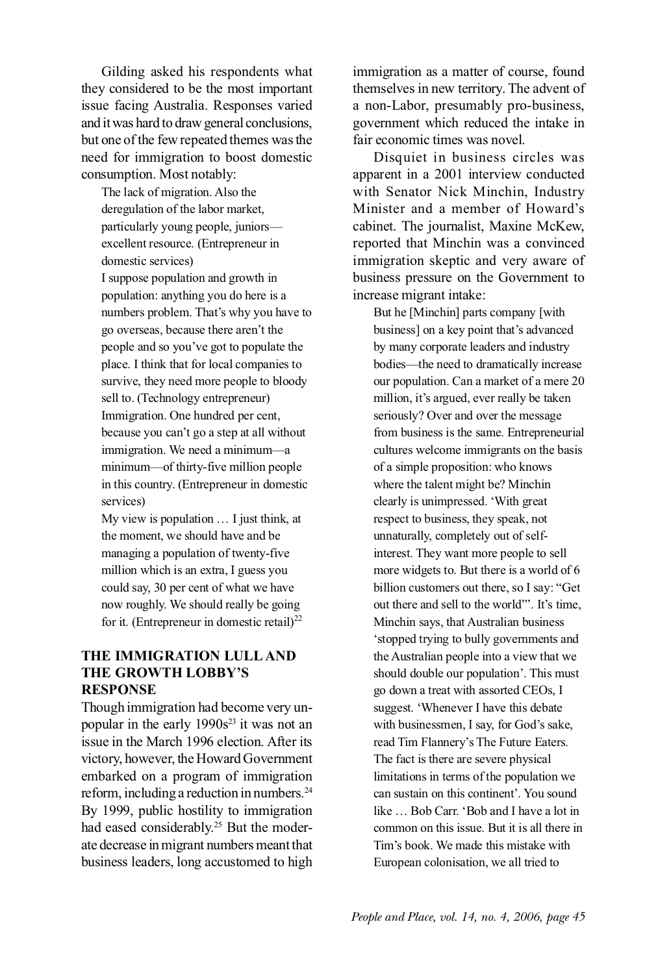Gilding asked his respondents what they considered to be the most important issue facing Australia. Responses varied and it was hard to draw general conclusions, but one of the few repeated themes was the need for immigration to boost domestic consumption. Most notably:

The lack of migration. Also the deregulation of the labor market, particularly young people, juniors excellent resource. (Entrepreneur in domestic services)

I suppose population and growth in population: anything you do here is a numbers problem. That's why you have to go overseas, because there aren't the people and so you've got to populate the place. I think that for local companies to survive, they need more people to bloody sell to. (Technology entrepreneur) Immigration. One hundred per cent, because you can't go a step at all without immigration. We need a minimum—a minimum—of thirty-five million people in this country. (Entrepreneur in domestic services)

My view is population … I just think, at the moment, we should have and be managing a population of twenty-five million which is an extra, I guess you could say, 30 per cent of what we have now roughly. We should really be going for it. (Entrepreneur in domestic retail) $^{22}$ 

## **THE IMMIGRATION LULL AND THE GROWTH LOBBY'S RESPONSE**

Though immigration had become very unpopular in the early  $1990s^{23}$  it was not an issue in the March 1996 election. After its victory, however, the Howard Government embarked on a program of immigration reform, including a reduction in numbers.24 By 1999, public hostility to immigration had eased considerably.<sup>25</sup> But the moderate decrease in migrant numbers meant that business leaders, long accustomed to high immigration as a matter of course, found themselves in new territory. The advent of a non-Labor, presumably pro-business, government which reduced the intake in fair economic times was novel.

Disquiet in business circles was apparent in a 2001 interview conducted with Senator Nick Minchin, Industry Minister and a member of Howard's cabinet. The journalist, Maxine McKew, reported that Minchin was a convinced immigration skeptic and very aware of business pressure on the Government to increase migrant intake:

But he [Minchin] parts company [with business] on a key point that's advanced by many corporate leaders and industry bodies—the need to dramatically increase our population. Can a market of a mere 20 million, it's argued, ever really be taken seriously? Over and over the message from business is the same. Entrepreneurial cultures welcome immigrants on the basis of a simple proposition: who knows where the talent might be? Minchin clearly is unimpressed. 'With great respect to business, they speak, not unnaturally, completely out of selfinterest. They want more people to sell more widgets to. But there is a world of 6 billion customers out there, so I say: "Get out there and sell to the world"'. It's time, Minchin says, that Australian business 'stopped trying to bully governments and the Australian people into a view that we should double our population'. This must go down a treat with assorted CEOs, I suggest. 'Whenever I have this debate with businessmen, I say, for God's sake, read Tim Flannery's The Future Eaters. The fact is there are severe physical limitations in terms of the population we can sustain on this continent'. You sound like … Bob Carr. 'Bob and I have a lot in common on this issue. But it is all there in Tim's book. We made this mistake with European colonisation, we all tried to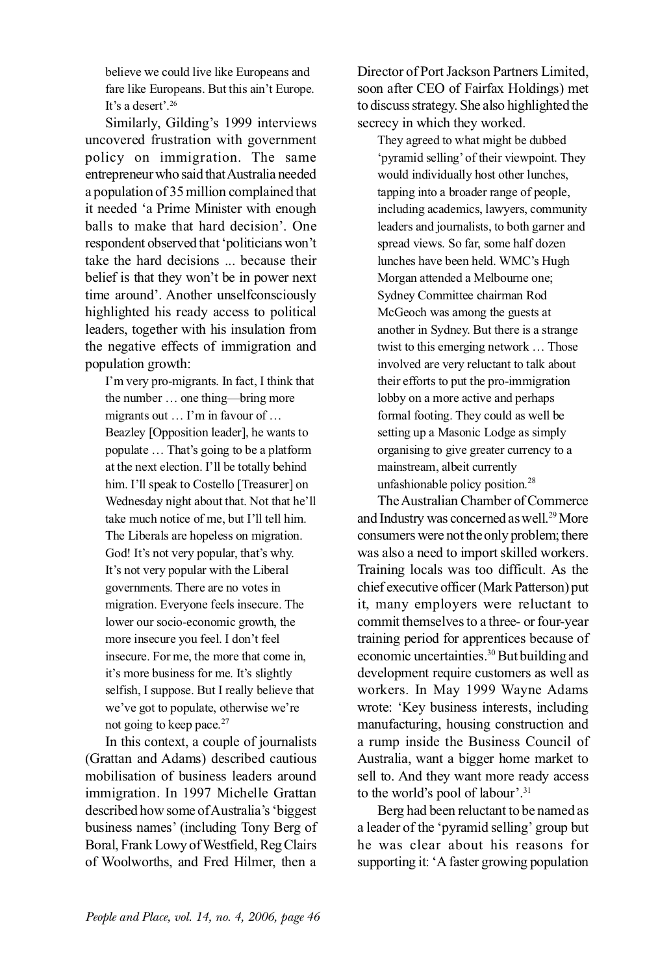believe we could live like Europeans and fare like Europeans. But this ain't Europe. It's a desert'.<sup>26</sup>

Similarly, Gilding's 1999 interviews uncovered frustration with government policy on immigration. The same entrepreneur who said that Australia needed a population of 35 million complained that it needed 'a Prime Minister with enough balls to make that hard decision'. One respondent observed that 'politicians won't take the hard decisions ... because their belief is that they won't be in power next time around'. Another unselfconsciously highlighted his ready access to political leaders, together with his insulation from the negative effects of immigration and population growth:

I'm very pro-migrants. In fact, I think that the number … one thing—bring more migrants out … I'm in favour of … Beazley [Opposition leader], he wants to populate … That's going to be a platform at the next election. I'll be totally behind him. I'll speak to Costello [Treasurer] on Wednesday night about that. Not that he'll take much notice of me, but I'll tell him. The Liberals are hopeless on migration. God! It's not very popular, that's why. It's not very popular with the Liberal governments. There are no votes in migration. Everyone feels insecure. The lower our socio-economic growth, the more insecure you feel. I don't feel insecure. For me, the more that come in, it's more business for me. It's slightly selfish, I suppose. But I really believe that we've got to populate, otherwise we're not going to keep pace.<sup>27</sup>

In this context, a couple of journalists (Grattan and Adams) described cautious mobilisation of business leaders around immigration. In 1997 Michelle Grattan described how some of Australia's 'biggest business names' (including Tony Berg of Boral, Frank Lowy of Westfield, Reg Clairs of Woolworths, and Fred Hilmer, then a

Director of Port Jackson Partners Limited, soon after CEO of Fairfax Holdings) met to discuss strategy. She also highlighted the secrecy in which they worked.

They agreed to what might be dubbed 'pyramid selling' of their viewpoint. They would individually host other lunches, tapping into a broader range of people, including academics, lawyers, community leaders and journalists, to both garner and spread views. So far, some half dozen lunches have been held. WMC's Hugh Morgan attended a Melbourne one; Sydney Committee chairman Rod McGeoch was among the guests at another in Sydney. But there is a strange twist to this emerging network … Those involved are very reluctant to talk about their efforts to put the pro-immigration lobby on a more active and perhaps formal footing. They could as well be setting up a Masonic Lodge as simply organising to give greater currency to a mainstream, albeit currently unfashionable policy position.28

The Australian Chamber of Commerce and Industry was concerned as well.<sup>29</sup> More consumers were not the only problem; there was also a need to import skilled workers. Training locals was too difficult. As the chief executive officer (Mark Patterson) put it, many employers were reluctant to commit themselves to a three- or four-year training period for apprentices because of economic uncertainties.<sup>30</sup> But building and development require customers as well as workers. In May 1999 Wayne Adams wrote: 'Key business interests, including manufacturing, housing construction and a rump inside the Business Council of Australia, want a bigger home market to sell to. And they want more ready access to the world's pool of labour'.31

Berg had been reluctant to be named as a leader of the 'pyramid selling' group but he was clear about his reasons for supporting it: 'A faster growing population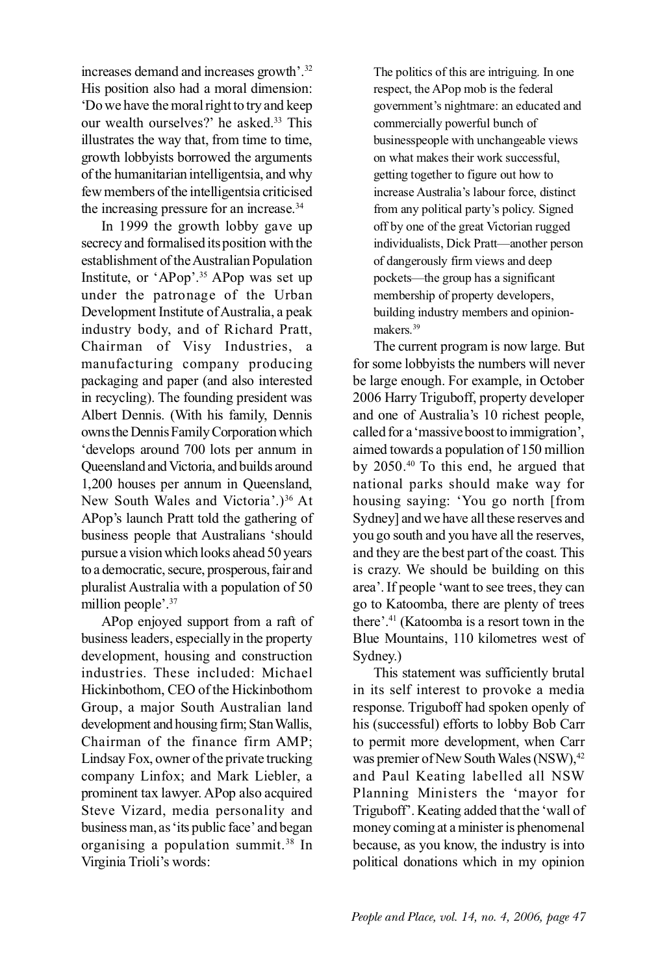increases demand and increases growth'.32 His position also had a moral dimension: 'Do we have the moral right to try and keep our wealth ourselves?' he asked.<sup>33</sup> This illustrates the way that, from time to time, growth lobbyists borrowed the arguments of the humanitarian intelligentsia, and why few members of the intelligentsia criticised the increasing pressure for an increase.<sup>34</sup>

In 1999 the growth lobby gave up secrecy and formalised its position with the establishment of the Australian Population Institute, or 'APop'.35 APop was set up under the patronage of the Urban Development Institute of Australia, a peak industry body, and of Richard Pratt, Chairman of Visy Industries, a manufacturing company producing packaging and paper (and also interested in recycling). The founding president was Albert Dennis. (With his family, Dennis owns the Dennis Family Corporation which 'develops around 700 lots per annum in Queensland and Victoria, and builds around 1,200 houses per annum in Queensland, New South Wales and Victoria'.)<sup>36</sup> At APop's launch Pratt told the gathering of business people that Australians 'should pursue a vision which looks ahead 50 years to a democratic, secure, prosperous, fair and pluralist Australia with a population of 50 million people'.<sup>37</sup>

APop enjoyed support from a raft of business leaders, especially in the property development, housing and construction industries. These included: Michael Hickinbothom, CEO of the Hickinbothom Group, a major South Australian land development and housing firm; Stan Wallis, Chairman of the finance firm AMP; Lindsay Fox, owner of the private trucking company Linfox; and Mark Liebler, a prominent tax lawyer. APop also acquired Steve Vizard, media personality and business man, as 'its public face' and began organising a population summit.38 In Virginia Trioli's words:

The politics of this are intriguing. In one respect, the APop mob is the federal government's nightmare: an educated and commercially powerful bunch of businesspeople with unchangeable views on what makes their work successful, getting together to figure out how to increase Australia's labour force, distinct from any political party's policy. Signed off by one of the great Victorian rugged individualists, Dick Pratt—another person of dangerously firm views and deep pockets—the group has a significant membership of property developers, building industry members and opinionmakers.<sup>39</sup>

The current program is now large. But for some lobbyists the numbers will never be large enough. For example, in October 2006 Harry Triguboff, property developer and one of Australia's 10 richest people, called for a 'massive boost to immigration', aimed towards a population of 150 million by 2050.40 To this end, he argued that national parks should make way for housing saying: 'You go north [from Sydney] and we have all these reserves and you go south and you have all the reserves, and they are the best part of the coast. This is crazy. We should be building on this area'. If people 'want to see trees, they can go to Katoomba, there are plenty of trees there'.41 (Katoomba is a resort town in the Blue Mountains, 110 kilometres west of Sydney.)

This statement was sufficiently brutal in its self interest to provoke a media response. Triguboff had spoken openly of his (successful) efforts to lobby Bob Carr to permit more development, when Carr was premier of New South Wales (NSW), 42 and Paul Keating labelled all NSW Planning Ministers the 'mayor for Triguboff'. Keating added that the 'wall of money coming at a minister is phenomenal because, as you know, the industry is into political donations which in my opinion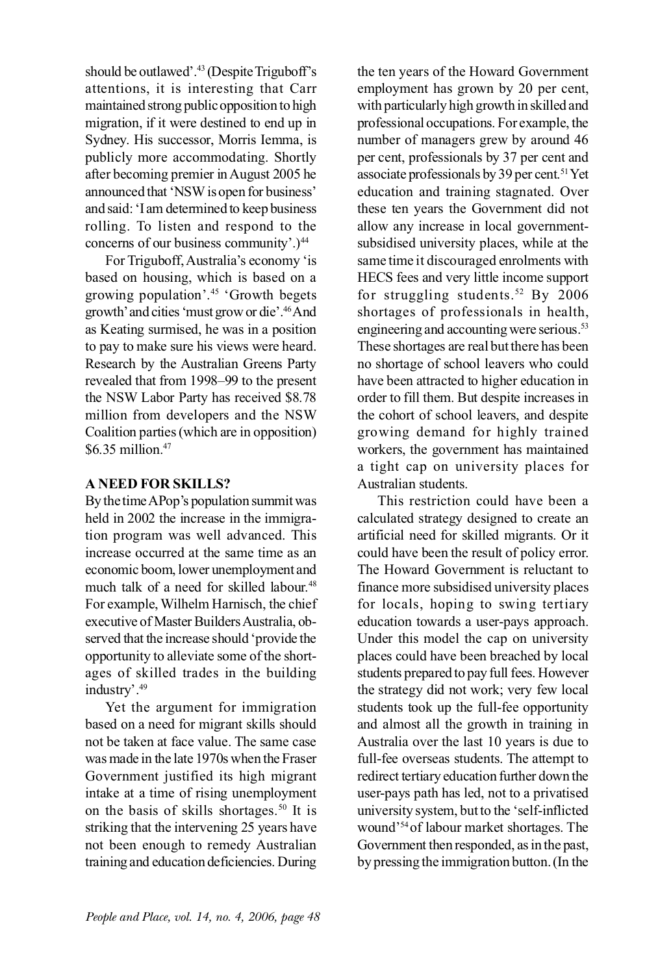should be outlawed'.43 (Despite Triguboff's attentions, it is interesting that Carr maintained strong public opposition to high migration, if it were destined to end up in Sydney. His successor, Morris Iemma, is publicly more accommodating. Shortly after becoming premier in August 2005 he announced that 'NSW is open for business' and said: 'I am determined to keep business rolling. To listen and respond to the concerns of our business community'.)<sup>44</sup>

For Triguboff, Australia's economy 'is based on housing, which is based on a growing population'.45 'Growth begets growth' and cities 'must grow or die'.46And as Keating surmised, he was in a position to pay to make sure his views were heard. Research by the Australian Greens Party revealed that from 1998–99 to the present the NSW Labor Party has received \$8.78 million from developers and the NSW Coalition parties (which are in opposition) \$6.35 million.47

### **A NEED FOR SKILLS?**

By the time APop's population summit was held in 2002 the increase in the immigration program was well advanced. This increase occurred at the same time as an economic boom, lower unemployment and much talk of a need for skilled labour.<sup>48</sup> For example, Wilhelm Harnisch, the chief executive of Master Builders Australia, observed that the increase should 'provide the opportunity to alleviate some of the shortages of skilled trades in the building industry'.49

Yet the argument for immigration based on a need for migrant skills should not be taken at face value. The same case was made in the late 1970s when the Fraser Government justified its high migrant intake at a time of rising unemployment on the basis of skills shortages.<sup>50</sup> It is striking that the intervening 25 years have not been enough to remedy Australian training and education deficiencies. During the ten years of the Howard Government employment has grown by 20 per cent, with particularly high growth in skilled and professional occupations. For example, the number of managers grew by around 46 per cent, professionals by 37 per cent and associate professionals by 39 per cent.51 Yet education and training stagnated. Over these ten years the Government did not allow any increase in local governmentsubsidised university places, while at the same time it discouraged enrolments with HECS fees and very little income support for struggling students.<sup>52</sup> By  $2006$ shortages of professionals in health, engineering and accounting were serious.<sup>53</sup> These shortages are real but there has been no shortage of school leavers who could have been attracted to higher education in order to fill them. But despite increases in the cohort of school leavers, and despite growing demand for highly trained workers, the government has maintained a tight cap on university places for Australian students.

This restriction could have been a calculated strategy designed to create an artificial need for skilled migrants. Or it could have been the result of policy error. The Howard Government is reluctant to finance more subsidised university places for locals, hoping to swing tertiary education towards a user-pays approach. Under this model the cap on university places could have been breached by local students prepared to pay full fees. However the strategy did not work; very few local students took up the full-fee opportunity and almost all the growth in training in Australia over the last 10 years is due to full-fee overseas students. The attempt to redirect tertiary education further down the user-pays path has led, not to a privatised university system, but to the 'self-inflicted wound'54 of labour market shortages. The Government then responded, as in the past, by pressing the immigration button. (In the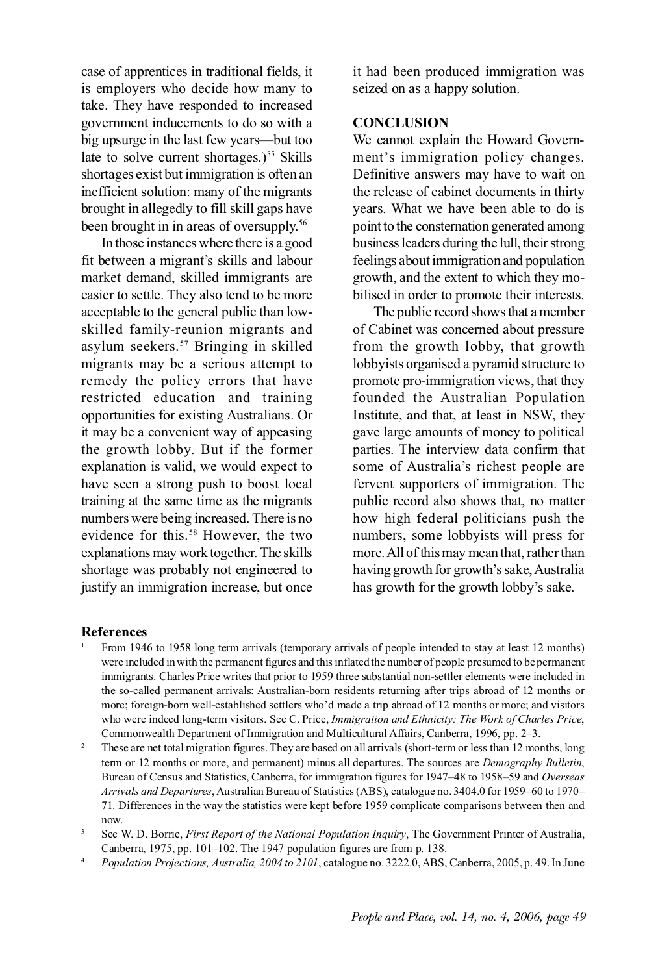case of apprentices in traditional fields, it is employers who decide how many to take. They have responded to increased government inducements to do so with a big upsurge in the last few years—but too late to solve current shortages.)<sup>55</sup> Skills shortages exist but immigration is often an inefficient solution: many of the migrants brought in allegedly to fill skill gaps have been brought in in areas of oversupply.56

In those instances where there is a good fit between a migrant's skills and labour market demand, skilled immigrants are easier to settle. They also tend to be more acceptable to the general public than lowskilled family-reunion migrants and asylum seekers.57 Bringing in skilled migrants may be a serious attempt to remedy the policy errors that have restricted education and training opportunities for existing Australians. Or it may be a convenient way of appeasing the growth lobby. But if the former explanation is valid, we would expect to have seen a strong push to boost local training at the same time as the migrants numbers were being increased. There is no evidence for this.<sup>58</sup> However, the two explanations may work together. The skills shortage was probably not engineered to justify an immigration increase, but once it had been produced immigration was seized on as a happy solution.

### **CONCLUSION**

We cannot explain the Howard Government's immigration policy changes. Definitive answers may have to wait on the release of cabinet documents in thirty years. What we have been able to do is point to the consternation generated among business leaders during the lull, their strong feelings about immigration and population growth, and the extent to which they mobilised in order to promote their interests.

The public record shows that a member of Cabinet was concerned about pressure from the growth lobby, that growth lobbyists organised a pyramid structure to promote pro-immigration views, that they founded the Australian Population Institute, and that, at least in NSW, they gave large amounts of money to political parties. The interview data confirm that some of Australia's richest people are fervent supporters of immigration. The public record also shows that, no matter how high federal politicians push the numbers, some lobbyists will press for more. All of this may mean that, rather than having growth for growth's sake, Australia has growth for the growth lobby's sake.

#### **References**

- <sup>1</sup> From 1946 to 1958 long term arrivals (temporary arrivals of people intended to stay at least 12 months) were included in with the permanent figures and this inflated the number of people presumed to be permanent immigrants. Charles Price writes that prior to 1959 three substantial non-settler elements were included in the so-called permanent arrivals: Australian-born residents returning after trips abroad of 12 months or more; foreign-born well-established settlers who'd made a trip abroad of 12 months or more; and visitors who were indeed long-term visitors. See C. Price, *Immigration and Ethnicity: The Work of Charles Price*, Commonwealth Department of Immigration and Multicultural Affairs, Canberra, 1996, pp. 2–3.
- <sup>2</sup> These are net total migration figures. They are based on all arrivals (short-term or less than 12 months, long term or 12 months or more, and permanent) minus all departures. The sources are *Demography Bulletin*, Bureau of Census and Statistics, Canberra, for immigration figures for 1947–48 to 1958–59 and *Overseas Arrivals and Departures*, Australian Bureau of Statistics (ABS), catalogue no. 3404.0 for 1959–60 to 1970– 71. Differences in the way the statistics were kept before 1959 complicate comparisons between then and now.
- <sup>3</sup> See W. D. Borrie, *First Report of the National Population Inquiry*, The Government Printer of Australia, Canberra, 1975, pp. 101–102. The 1947 population figures are from p. 138.
- <sup>4</sup> *Population Projections, Australia, 2004 to 2101*, catalogue no. 3222.0, ABS, Canberra, 2005, p. 49. In June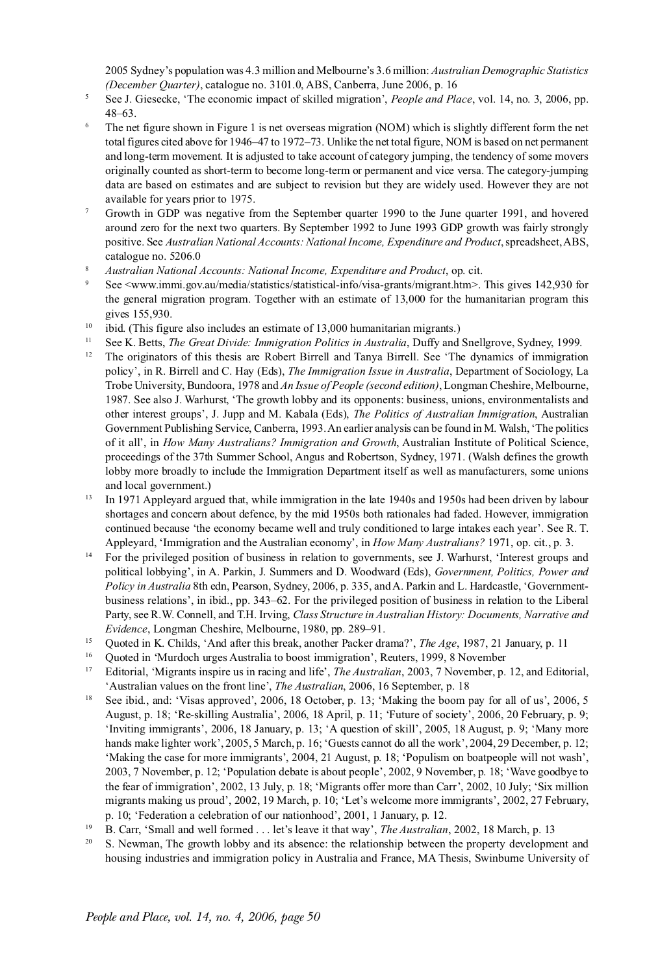2005 Sydney's population was 4.3 million and Melbourne's 3.6 million: *Australian Demographic Statistics (December Quarter)*, catalogue no. 3101.0, ABS, Canberra, June 2006, p. 16

- <sup>5</sup> See J. Giesecke, 'The economic impact of skilled migration', *People and Place*, vol. 14, no. 3, 2006, pp. 48–63.
- <sup>6</sup> The net figure shown in Figure 1 is net overseas migration (NOM) which is slightly different form the net total figures cited above for 1946–47 to 1972–73. Unlike the net total figure, NOM is based on net permanent and long-term movement. It is adjusted to take account of category jumping, the tendency of some movers originally counted as short-term to become long-term or permanent and vice versa. The category-jumping data are based on estimates and are subject to revision but they are widely used. However they are not available for years prior to 1975.
- <sup>7</sup> Growth in GDP was negative from the September quarter 1990 to the June quarter 1991, and hovered around zero for the next two quarters. By September 1992 to June 1993 GDP growth was fairly strongly positive. See *Australian National Accounts: National Income, Expenditure and Product*, spreadsheet, ABS, catalogue no. 5206.0
- <sup>8</sup> *Australian National Accounts: National Income, Expenditure and Product*, op. cit.
- See <www.immi.gov.au/media/statistics/statistical-info/visa-grants/migrant.htm>. This gives 142,930 for the general migration program. Together with an estimate of 13,000 for the humanitarian program this gives 155,930.
- ibid. (This figure also includes an estimate of 13,000 humanitarian migrants.)
- <sup>11</sup> See K. Betts, *The Great Divide: Immigration Politics in Australia*, Duffy and Snellgrove, Sydney, 1999.
- <sup>12</sup> The originators of this thesis are Robert Birrell and Tanya Birrell. See 'The dynamics of immigration policy', in R. Birrell and C. Hay (Eds), *The Immigration Issue in Australia*, Department of Sociology, La Trobe University, Bundoora, 1978 and *An Issue of People (second edition)*, Longman Cheshire, Melbourne, 1987. See also J. Warhurst, 'The growth lobby and its opponents: business, unions, environmentalists and other interest groups', J. Jupp and M. Kabala (Eds), *The Politics of Australian Immigration*, Australian Government Publishing Service, Canberra, 1993. An earlier analysis can be found in M. Walsh, 'The politics of it all', in *How Many Australians? Immigration and Growth*, Australian Institute of Political Science, proceedings of the 37th Summer School, Angus and Robertson, Sydney, 1971. (Walsh defines the growth lobby more broadly to include the Immigration Department itself as well as manufacturers, some unions and local government.)
- <sup>13</sup> In 1971 Appleyard argued that, while immigration in the late 1940s and 1950s had been driven by labour shortages and concern about defence, by the mid 1950s both rationales had faded. However, immigration continued because 'the economy became well and truly conditioned to large intakes each year'. See R. T. Appleyard, 'Immigration and the Australian economy', in *How Many Australians?* 1971, op. cit., p. 3.
- <sup>14</sup> For the privileged position of business in relation to governments, see J. Warhurst, 'Interest groups and political lobbying', in A. Parkin, J. Summers and D. Woodward (Eds), *Government, Politics, Power and Policy in Australia* 8th edn, Pearson, Sydney, 2006, p. 335, and A. Parkin and L. Hardcastle, 'Governmentbusiness relations', in ibid., pp. 343–62. For the privileged position of business in relation to the Liberal Party, see R.W. Connell, and T.H. Irving, *Class Structure in Australian History: Documents, Narrative and Evidence*, Longman Cheshire, Melbourne, 1980, pp. 289–91.
- <sup>15</sup> Quoted in K. Childs, 'And after this break, another Packer drama?', *The Age*, 1987, 21 January, p. 11
- <sup>16</sup> Quoted in 'Murdoch urges Australia to boost immigration', Reuters, 1999, 8 November
- <sup>17</sup> Editorial, 'Migrants inspire us in racing and life', *The Australian*, 2003, 7 November, p. 12, and Editorial, 'Australian values on the front line', *The Australian*, 2006, 16 September, p. 18
- See ibid., and: 'Visas approved', 2006, 18 October, p. 13; 'Making the boom pay for all of us', 2006, 5 August, p. 18; 'Re-skilling Australia', 2006, 18 April, p. 11; 'Future of society', 2006, 20 February, p. 9; 'Inviting immigrants', 2006, 18 January, p. 13; 'A question of skill', 2005, 18 August, p. 9; 'Many more hands make lighter work', 2005, 5 March, p. 16; 'Guests cannot do all the work', 2004, 29 December, p. 12; 'Making the case for more immigrants', 2004, 21 August, p. 18; 'Populism on boatpeople will not wash', 2003, 7 November, p. 12; 'Population debate is about people', 2002, 9 November, p. 18; 'Wave goodbye to the fear of immigration', 2002, 13 July, p. 18; 'Migrants offer more than Carr', 2002, 10 July; 'Six million migrants making us proud', 2002, 19 March, p. 10; 'Let's welcome more immigrants', 2002, 27 February, p. 10; 'Federation a celebration of our nationhood', 2001, 1 January, p. 12.
- <sup>19</sup> B. Carr, 'Small and well formed . . . let's leave it that way', *The Australian*, 2002, 18 March, p. 13
- <sup>20</sup> S. Newman, The growth lobby and its absence: the relationship between the property development and housing industries and immigration policy in Australia and France, MA Thesis, Swinburne University of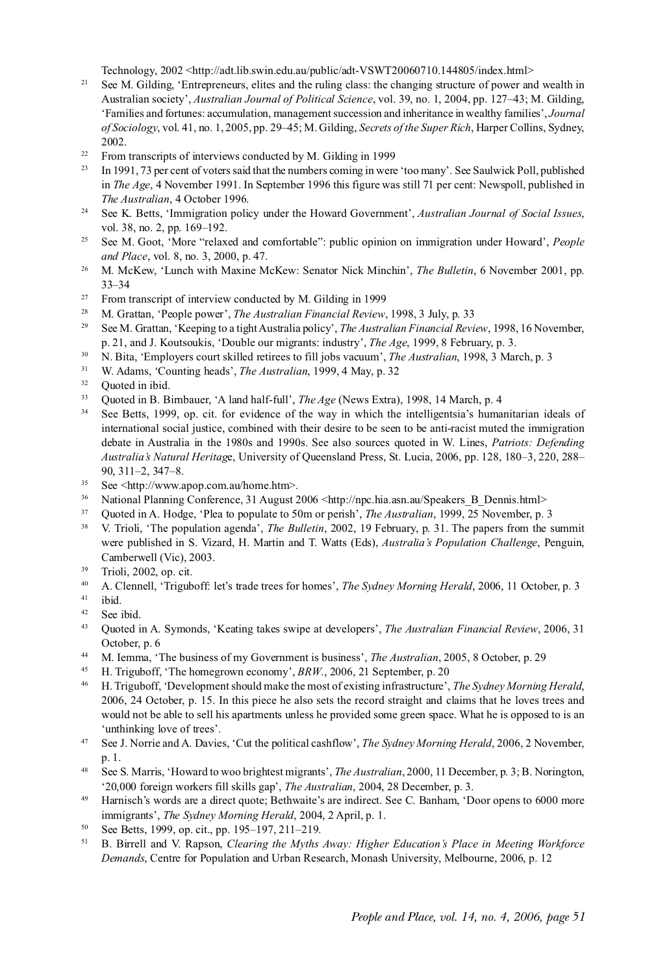Technology, 2002 <http://adt.lib.swin.edu.au/public/adt-VSWT20060710.144805/index.html>

- <sup>21</sup> See M. Gilding, 'Entrepreneurs, elites and the ruling class: the changing structure of power and wealth in Australian society', *Australian Journal of Political Science*, vol. 39, no. 1, 2004, pp. 127–43; M. Gilding, 'Families and fortunes: accumulation, management succession and inheritance in wealthy families', *Journal of Sociology*, vol. 41, no. 1, 2005, pp. 29–45; M. Gilding, *Secrets of the Super Rich*, Harper Collins, Sydney, 2002.
- <sup>22</sup> From transcripts of interviews conducted by M. Gilding in 1999
- <sup>23</sup> In 1991, 73 per cent of voters said that the numbers coming in were 'too many'. See Saulwick Poll, published in *The Age*, 4 November 1991. In September 1996 this figure was still 71 per cent: Newspoll, published in *The Australian*, 4 October 1996.
- <sup>24</sup> See K. Betts, 'Immigration policy under the Howard Government', *Australian Journal of Social Issues*, vol. 38, no. 2, pp. 169-192.
- <sup>25</sup> See M. Goot, 'More "relaxed and comfortable": public opinion on immigration under Howard', *People and Place*, vol. 8, no. 3, 2000, p. 47.
- <sup>26</sup> M. McKew, 'Lunch with Maxine McKew: Senator Nick Minchin', *The Bulletin*, 6 November 2001, pp. 33–34
- <sup>27</sup> From transcript of interview conducted by M. Gilding in 1999
- <sup>28</sup> M. Grattan, 'People power', *The Australian Financial Review*, 1998, 3 July, p. 33
- <sup>29</sup> See M. Grattan, 'Keeping to a tight Australia policy', *The Australian Financial Review*, 1998, 16 November, p. 21, and J. Koutsoukis, 'Double our migrants: industry', *The Age*, 1999, 8 February, p. 3.
- <sup>30</sup> N. Bita, 'Employers court skilled retirees to fill jobs vacuum', *The Australian*, 1998, 3 March, p. 3
- <sup>31</sup> W. Adams, 'Counting heads', *The Australian*, 1999, 4 May, p. 32<sup>32</sup> Oueted in ibid
- Ouoted in ibid.
- <sup>33</sup> Quoted in B. Birnbauer, 'A land half-full', *The Age* (News Extra), 1998, 14 March, p. 4
- <sup>34</sup> See Betts, 1999, op. cit. for evidence of the way in which the intelligentsia's humanitarian ideals of international social justice, combined with their desire to be seen to be anti-racist muted the immigration debate in Australia in the 1980s and 1990s. See also sources quoted in W. Lines, *Patriots: Defending Australia's Natural Heritag*e, University of Queensland Press, St. Lucia, 2006, pp. 128, 180–3, 220, 288– 90, 311–2, 347–8.
- <sup>35</sup> See <http://www.apop.com.au/home.htm>.
- <sup>36</sup> National Planning Conference, 31 August 2006 <http://npc.hia.asn.au/Speakers B\_Dennis.html>
- <sup>37</sup> Quoted in A. Hodge, 'Plea to populate to 50m or perish', *The Australian*, 1999, 25 November, p. 3
- <sup>38</sup> V. Trioli, 'The population agenda', *The Bulletin*, 2002, 19 February, p. 31. The papers from the summit were published in S. Vizard, H. Martin and T. Watts (Eds), *Australia's Population Challenge*, Penguin, Camberwell (Vic), 2003.
- <sup>39</sup> Trioli, 2002, op. cit.
- <sup>40</sup> A. Clennell, 'Triguboff: let's trade trees for homes', *The Sydney Morning Herald*, 2006, 11 October, p. 3
- <sup>41</sup> ibid.
- <sup>42</sup> See ibid.
- <sup>43</sup> Quoted in A. Symonds, 'Keating takes swipe at developers', *The Australian Financial Review*, 2006, 31 October, p. 6
- <sup>44</sup> M. Iemma, 'The business of my Government is business', *The Australian*, 2005, 8 October, p. 29
- <sup>45</sup> H. Triguboff, 'The homegrown economy', *BRW*., 2006, 21 September, p. 20
- <sup>46</sup> H. Triguboff, 'Development should make the most of existing infrastructure', *The Sydney Morning Herald*, 2006, 24 October, p. 15. In this piece he also sets the record straight and claims that he loves trees and would not be able to sell his apartments unless he provided some green space. What he is opposed to is an 'unthinking love of trees'.
- <sup>47</sup> See J. Norrie and A. Davies, 'Cut the political cashflow', *The Sydney Morning Herald*, 2006, 2 November, p. 1.
- <sup>48</sup> See S. Marris, 'Howard to woo brightest migrants', *The Australian*, 2000, 11 December, p. 3; B. Norington, '20,000 foreign workers fill skills gap', *The Australian*, 2004, 28 December, p. 3.
- <sup>49</sup> Harnisch's words are a direct quote; Bethwaite's are indirect. See C. Banham, 'Door opens to 6000 more immigrants', *The Sydney Morning Herald*, 2004, 2 April, p. 1.
- <sup>50</sup> See Betts, 1999, op. cit., pp. 195–197, 211–219.
- <sup>51</sup> B. Birrell and V. Rapson, *Clearing the Myths Away: Higher Education's Place in Meeting Workforce Demands*, Centre for Population and Urban Research, Monash University, Melbourne, 2006, p. 12